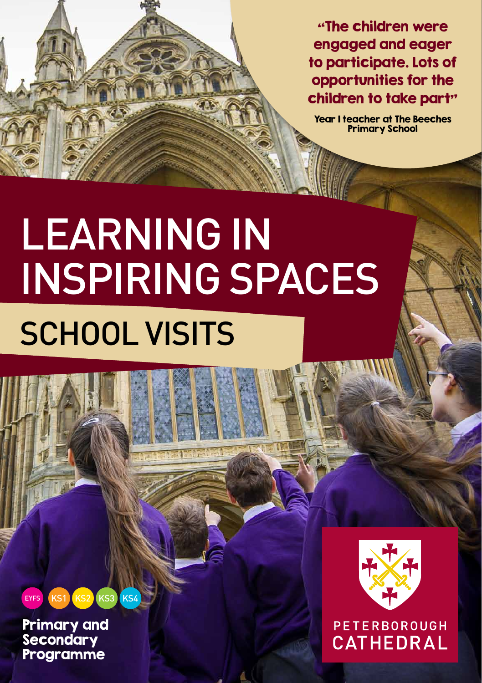"The children were engaged and eager to participate. Lots of opportunities for the children to take part"

Year 1 teacher at The Beeches Primary School

# Learning in Inspiring SPACES SCHOOL VISITS

#### KS1 KS2 KS3 KS4 EYFS

Primary and **Secondary** Programme



### PETERBOROUGH CATHEDRAL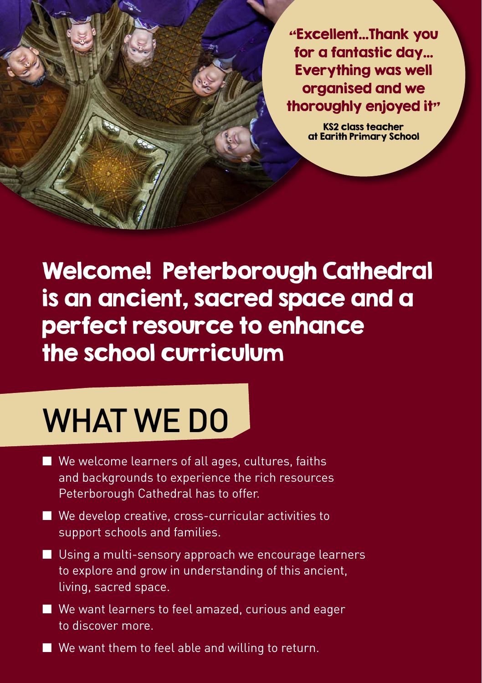"Excellent…Thank you for a fantastic day… Everything was well organised and we thoroughly enjoyed it"

> KS2 class teacher at Earith Primary School

Welcome! Peterborough Cathedral is an ancient, sacred space and a perfect resource to enhance the school curriculum

## WHAT WE DO

- **No welcome learners of all ages, cultures, faiths** and backgrounds to experience the rich resources Peterborough Cathedral has to offer.
- $\blacksquare$  We develop creative, cross-curricular activities to support schools and families.
- $\blacksquare$  Using a multi-sensory approach we encourage learners to explore and grow in understanding of this ancient, living, sacred space.
- $\blacksquare$  We want learners to feel amazed, curious and eager to discover more.
- $\blacksquare$  We want them to feel able and willing to return.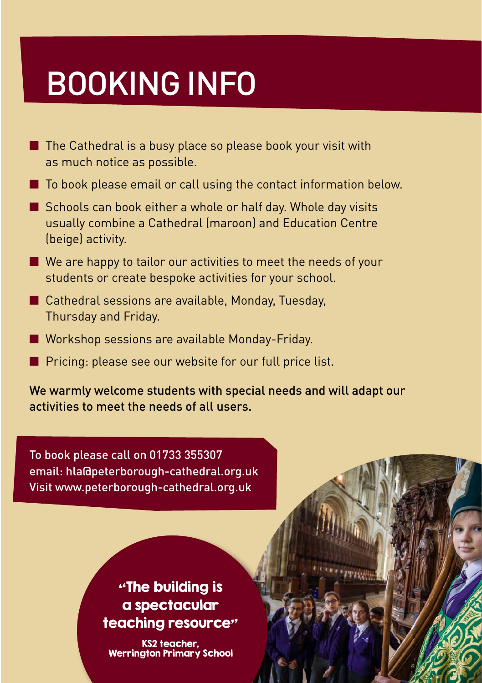## BOOKING INFO

- $\blacksquare$  The Cathedral is a busy place so please book your visit with as much notice as possible.
- $\blacksquare$  To book please email or call using the contact information below.
- $\blacksquare$  Schools can book either a whole or half day. Whole day visits usually combine a Cathedral (maroon) and Education Centre (beige) activity.
- $\blacksquare$  We are happy to tailor our activities to meet the needs of your students or create bespoke activities for your school.
- $\blacksquare$  Cathedral sessions are available, Monday, Tuesday, Thursday and Friday.
- Workshop sessions are available Monday-Friday.
- Pricing: please see our website for our full price list.

We warmly welcome students with special needs and will adapt our activities to meet the needs of all users.

To book please call on 01733 355307 email: hla@peterborough-cathedral.org.uk Visit www.peterborough-cathedral.org.uk

#### "The building is a spectacular teaching resource"

KS2 teacher, Werrington Primary School